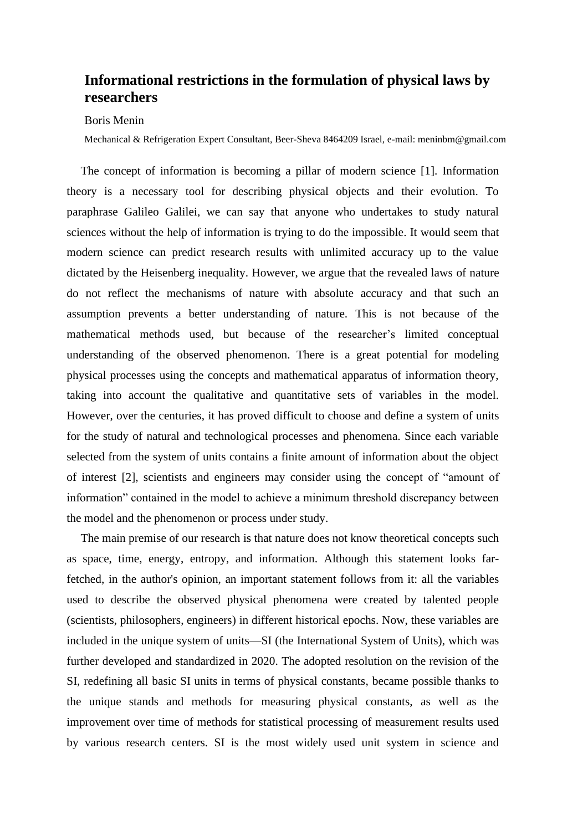## **Informational restrictions in the formulation of physical laws by researchers**

## Boris Menin

Mechanical & Refrigeration Expert Consultant, Beer-Sheva 8464209 Israel, e-mail: meninbm@gmail.com

The concept of information is becoming a pillar of modern science [1]. Information theory is a necessary tool for describing physical objects and their evolution. To paraphrase Galileo Galilei, we can say that anyone who undertakes to study natural sciences without the help of information is trying to do the impossible. It would seem that modern science can predict research results with unlimited accuracy up to the value dictated by the Heisenberg inequality. However, we argue that the revealed laws of nature do not reflect the mechanisms of nature with absolute accuracy and that such an assumption prevents a better understanding of nature. This is not because of the mathematical methods used, but because of the researcher's limited conceptual understanding of the observed phenomenon. There is a great potential for modeling physical processes using the concepts and mathematical apparatus of information theory, taking into account the qualitative and quantitative sets of variables in the model. However, over the centuries, it has proved difficult to choose and define a system of units for the study of natural and technological processes and phenomena. Since each variable selected from the system of units contains a finite amount of information about the object of interest [2], scientists and engineers may consider using the concept of "amount of information" contained in the model to achieve a minimum threshold discrepancy between the model and the phenomenon or process under study.

The main premise of our research is that nature does not know theoretical concepts such as space, time, energy, entropy, and information. Although this statement looks farfetched, in the author's opinion, an important statement follows from it: all the variables used to describe the observed physical phenomena were created by talented people (scientists, philosophers, engineers) in different historical epochs. Now, these variables are included in the unique system of units—SI (the International System of Units), which was further developed and standardized in 2020. The adopted resolution on the revision of the SI, redefining all basic SI units in terms of physical constants, became possible thanks to the unique stands and methods for measuring physical constants, as well as the improvement over time of methods for statistical processing of measurement results used by various research centers. SI is the most widely used unit system in science and